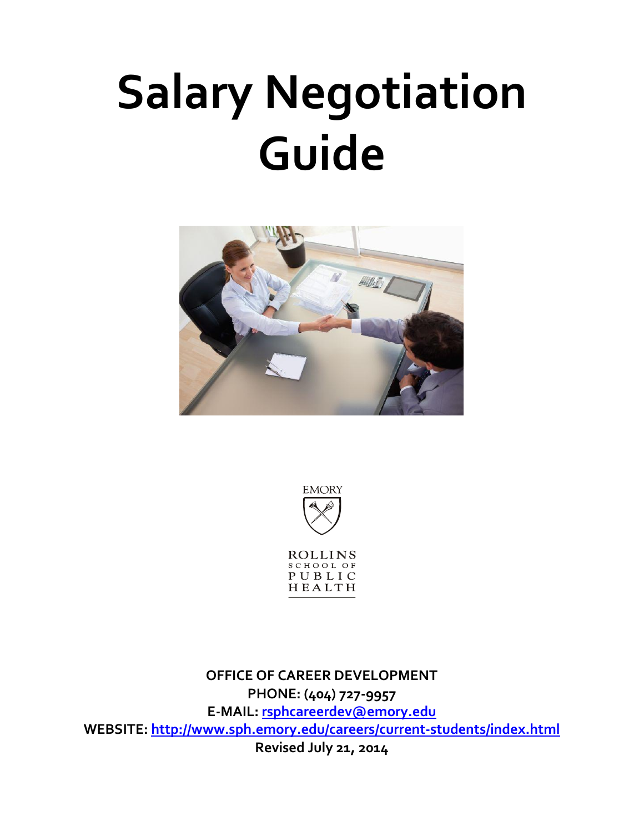# **Salary Negotiation Guide**





**ROLLINS** SCHOOL OF PUBLIC HEALTH

**OFFICE OF CAREER DEVELOPMENT PHONE: (404) 727-9957 E-MAIL: [rsphcareerdev@emory.edu](mailto:rsphcareerdev@emory.edu) WEBSITE: [http://www.sph.emory.edu/careers/c](http://www.sph.emory.edu/careers/)urrent-students/index.html Revised July 21, 2014**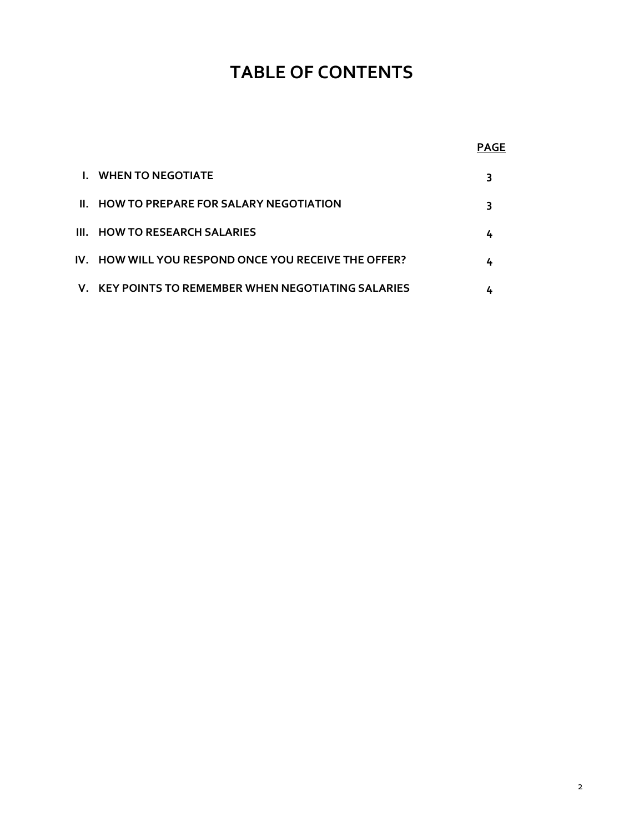## **TABLE OF CONTENTS**

|--|

| <b>I. WHEN TO NEGOTIATE</b>                          |  |
|------------------------------------------------------|--|
| II. HOW TO PREPARE FOR SALARY NEGOTIATION            |  |
| III. HOW TO RESEARCH SALARIES                        |  |
| IV. HOW WILL YOU RESPOND ONCE YOU RECEIVE THE OFFER? |  |
| V. KEY POINTS TO REMEMBER WHEN NEGOTIATING SALARIES  |  |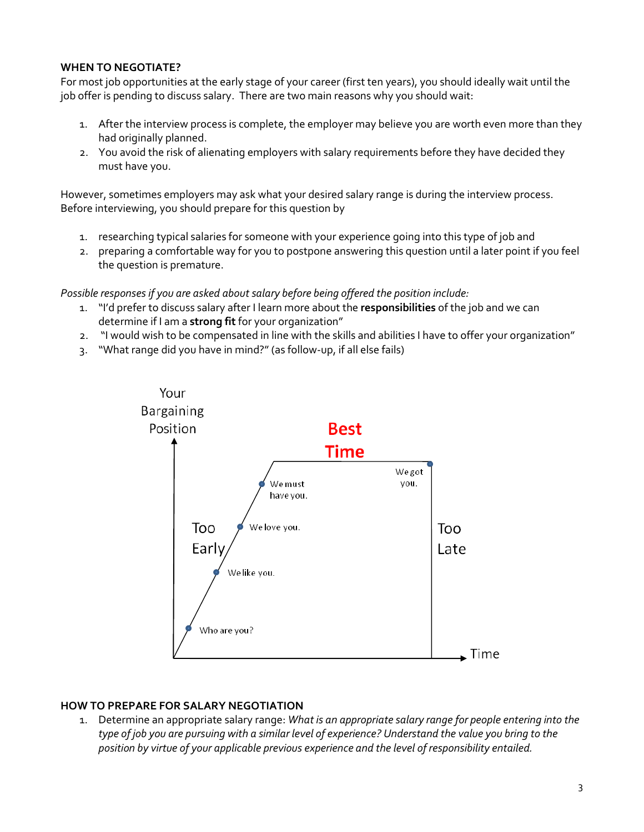#### **WHEN TO NEGOTIATE?**

For most job opportunities at the early stage of your career (first ten years), you should ideally wait until the job offer is pending to discuss salary. There are two main reasons why you should wait:

- 1. After the interview process is complete, the employer may believe you are worth even more than they had originally planned.
- 2. You avoid the risk of alienating employers with salary requirements before they have decided they must have you.

However, sometimes employers may ask what your desired salary range is during the interview process. Before interviewing, you should prepare for this question by

- 1. researching typical salaries for someone with your experience going into this type of job and
- 2. preparing a comfortable way for you to postpone answering this question until a later point if you feel the question is premature.

Possible responses if you are asked about salary before being offered the position include:

- 1. "I'd prefer to discuss salary after I learn more about the **responsibilities** of the job and we can determine if I am a **strong fit** for your organization"
- 2. "I would wish to be compensated in line with the skills and abilities I have to offer your organization"
- 3. "What range did you have in mind?"(as follow-up, if all else fails)



#### **HOW TO PREPARE FOR SALARY NEGOTIATION**

1. Determine an appropriate salary range: *What is an appropriate salary range for people entering into the type of job you are pursuing with a similar level of experience? Understand the value you bring to the position by virtue of your applicable previous experience and the level of responsibility entailed.*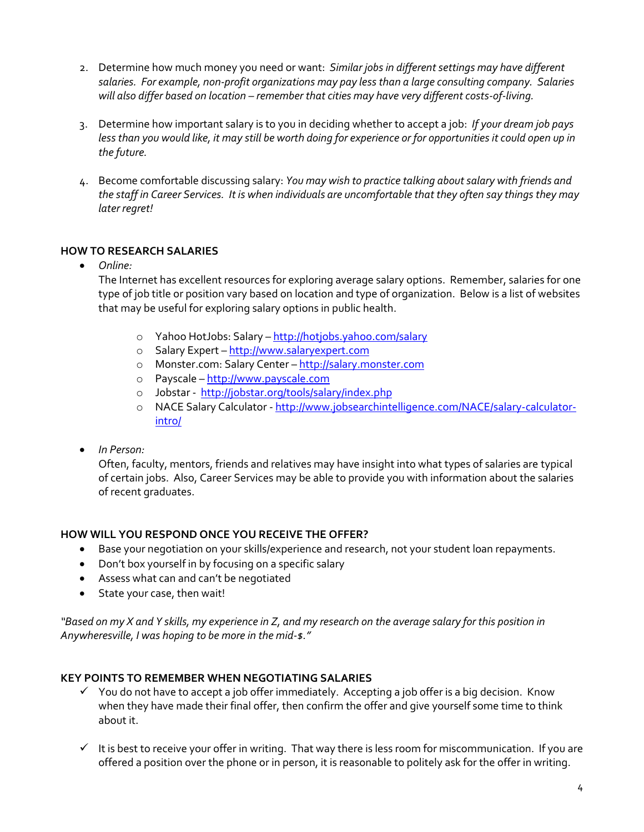- 2. Determine how much money you need or want: *Similar jobs in different settings may have different salaries. For example, non-profit organizations may pay less than a large consulting company. Salaries will also differ based on location – remember that cities may have very different costs-of-living.*
- 3. Determine how important salary is to you in deciding whether to accept a job: *If your dream job pays*  less than you would like, it may still be worth doing for experience or for opportunities it could open up in *the future.*
- 4. Become comfortable discussing salary: *You may wish to practice talking about salary with friends and the staff in Career Services. It is when individuals are uncomfortable that they often say things they may later regret!*

### **HOW TO RESEARCH SALARIES**

*Online:*

The Internet has excellent resources for exploring average salary options. Remember, salaries for one type of job title or position vary based on location and type of organization. Below is a list of websites that may be useful for exploring salary options in public health.

- o Yahoo HotJobs: Salary <http://hotjobs.yahoo.com/salary>
- o Salary Expert [http://www.salaryexpert.com](http://www.salaryexpert.com/)
- o Monster.com: Salary Center [http://salary.monster.com](http://salary.monster.com/)
- o Payscale [http://www.payscale.com](http://www.payscale.com/)
- o Jobstar <http://jobstar.org/tools/salary/index.php>
- o NACE Salary Calculator [http://www.jobsearchintelligence.com/NACE/salary-calculator](http://www.jobsearchintelligence.com/NACE/salary-calculator-intro/)[intro/](http://www.jobsearchintelligence.com/NACE/salary-calculator-intro/)
- *In Person:*

Often, faculty, mentors, friends and relatives may have insight into what types of salaries are typical of certain jobs. Also, Career Services may be able to provide you with information about the salaries of recent graduates.

#### **HOW WILL YOU RESPOND ONCE YOU RECEIVE THE OFFER?**

- Base your negotiation on your skills/experience and research, not your student loan repayments.
- Don't box yourself in by focusing on a specific salary
- Assess what can and can't be negotiated
- State your case, then wait!

*"Based on my X and Y skills, my experience in Z, and my research on the average salary for this position in Anywheresville, I was hoping to be more in the mid-\$."* 

#### **KEY POINTS TO REMEMBER WHEN NEGOTIATING SALARIES**

- $\checkmark$  You do not have to accept a job offer immediately. Accepting a job offer is a big decision. Know when they have made their final offer, then confirm the offer and give yourself some time to think about it.
- $\checkmark$  It is best to receive your offer in writing. That way there is less room for miscommunication. If you are offered a position over the phone or in person, it is reasonable to politely ask for the offer in writing.